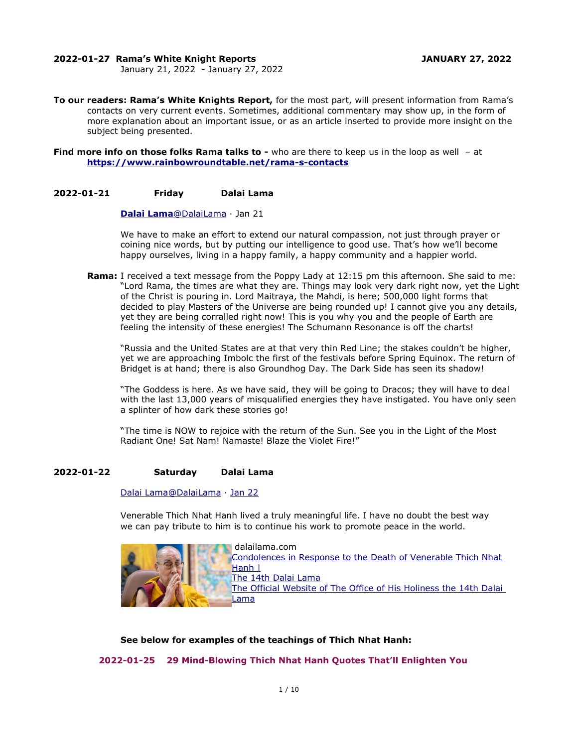#### **2022-01-27 Rama's White Knight Reports JANUARY 27, 2022**

January 21, 2022 - January 27, 2022

**To our readers: Rama's White Knights Report,** for the most part, will present information from Rama's contacts on very current events. Sometimes, additional commentary may show up, in the form of more explanation about an important issue, or as an article inserted to provide more insight on the subject being presented.

**Find more info on those folks Rama talks to -** who are there to keep us in the loop as well - at **<https://www.rainbowroundtable.net/rama-s-contacts>**

#### **2022-01-21 Friday Dalai Lama**

#### **[Dalai](https://twitter.com/DalaiLama) [Lama](mailto:Lama@DalaiLama)** [@DalaiLama](mailto:Lama@DalaiLama) · Jan 21

We have to make an effort to extend our natural compassion, not just through prayer or coining nice words, but by putting our intelligence to good use. That's how we'll become happy ourselves, living in a happy family, a happy community and a happier world.

**Rama:** I received a text message from the Poppy Lady at 12:15 pm this afternoon. She said to me: "Lord Rama, the times are what they are. Things may look very dark right now, yet the Light of the Christ is pouring in. Lord Maitraya, the Mahdi, is here; 500,000 light forms that decided to play Masters of the Universe are being rounded up! I cannot give you any details, yet they are being corralled right now! This is you why you and the people of Earth are feeling the intensity of these energies! The Schumann Resonance is off the charts!

"Russia and the United States are at that very thin Red Line; the stakes couldn't be higher, yet we are approaching Imbolc the first of the festivals before Spring Equinox. The return of Bridget is at hand; there is also Groundhog Day. The Dark Side has seen its shadow!

"The Goddess is here. As we have said, they will be going to Dracos; they will have to deal with the last 13,000 years of misqualified energies they have instigated. You have only seen a splinter of how dark these stories go!

"The time is NOW to rejoice with the return of the Sun. See you in the Light of the Most Radiant One! Sat Nam! Namaste! Blaze the Violet Fire!"

# **2022-01-22 Saturday Dalai Lama**

## Dalai Lama@DalaiLama · [Jan 22](https://twitter.com/DalaiLama/status/1484838703113859076)

Venerable Thich Nhat Hanh lived a truly meaningful life. I have no doubt the best way we can pay tribute to him is to continue his work to promote peace in the world.



**See below for examples of the teachings of Thich Nhat Hanh:**

 **2022-01-25 29 Mind-Blowing Thich Nhat Hanh Quotes That'll Enlighten You**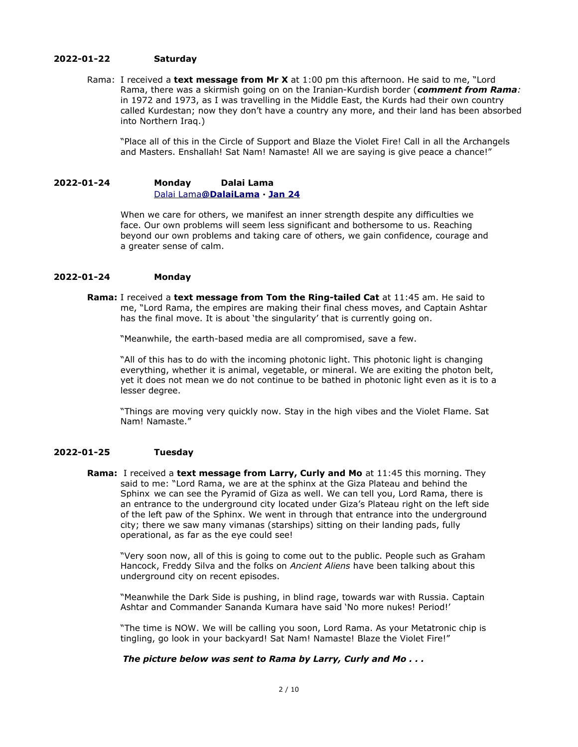#### **2022-01-22 Saturday**

Rama: I received a **text message from Mr X** at 1:00 pm this afternoon. He said to me, "Lord Rama, there was a skirmish going on on the Iranian-Kurdish border (*comment from Rama:* in 1972 and 1973, as I was travelling in the Middle East, the Kurds had their own country called Kurdestan; now they don't have a country any more, and their land has been absorbed into Northern Iraq.)

"Place all of this in the Circle of Support and Blaze the Violet Fire! Call in all the Archangels and Masters. Enshallah! Sat Nam! Namaste! All we are saying is give peace a chance!"

# **2022-01-24 Monday Dalai Lama** [Dalai](https://twitter.com/DalaiLama) [Lama](mailto:Lama@DalaiLama) **[@DalaiLama](mailto:Lama@DalaiLama) · [Jan 24](https://twitter.com/DalaiLama/status/1485546206566961152)**

When we care for others, we manifest an inner strength despite any difficulties we face. Our own problems will seem less significant and bothersome to us. Reaching beyond our own problems and taking care of others, we gain confidence, courage and a greater sense of calm.

## **2022-01-24 Monday**

**Rama:** I received a **text message from Tom the Ring-tailed Cat** at 11:45 am. He said to me, "Lord Rama, the empires are making their final chess moves, and Captain Ashtar has the final move. It is about 'the singularity' that is currently going on.

"Meanwhile, the earth-based media are all compromised, save a few.

"All of this has to do with the incoming photonic light. This photonic light is changing everything, whether it is animal, vegetable, or mineral. We are exiting the photon belt, yet it does not mean we do not continue to be bathed in photonic light even as it is to a lesser degree.

"Things are moving very quickly now. Stay in the high vibes and the Violet Flame. Sat Nam! Namaste."

# **2022-01-25 Tuesday**

**Rama:** I received a **text message from Larry, Curly and Mo** at 11:45 this morning. They said to me: "Lord Rama, we are at the sphinx at the Giza Plateau and behind the Sphinx we can see the Pyramid of Giza as well. We can tell you, Lord Rama, there is an entrance to the underground city located under Giza's Plateau right on the left side of the left paw of the Sphinx. We went in through that entrance into the underground city; there we saw many vimanas (starships) sitting on their landing pads, fully operational, as far as the eye could see!

"Very soon now, all of this is going to come out to the public. People such as Graham Hancock, Freddy Silva and the folks on *Ancient Aliens* have been talking about this underground city on recent episodes.

"Meanwhile the Dark Side is pushing, in blind rage, towards war with Russia. Captain Ashtar and Commander Sananda Kumara have said 'No more nukes! Period!'

"The time is NOW. We will be calling you soon, Lord Rama. As your Metatronic chip is tingling, go look in your backyard! Sat Nam! Namaste! Blaze the Violet Fire!"

# *The picture below was sent to Rama by Larry, Curly and Mo . . .*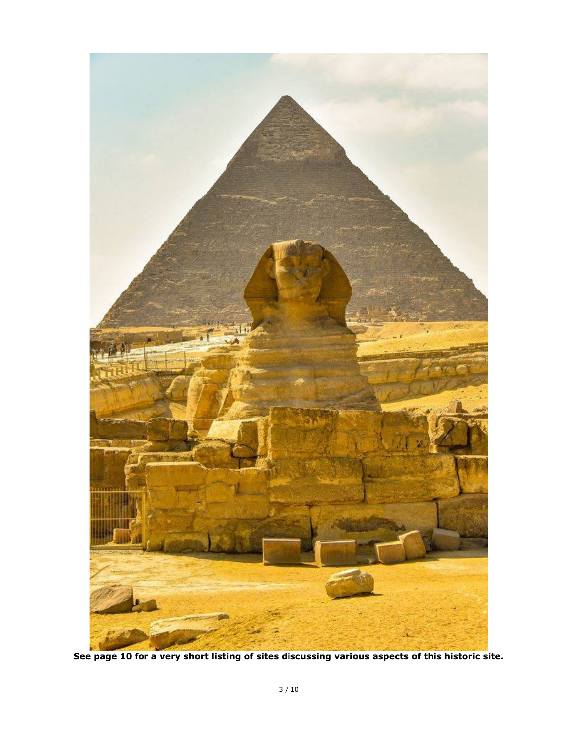

**See page 10 for a very short listing of sites discussing various aspects of this historic site.**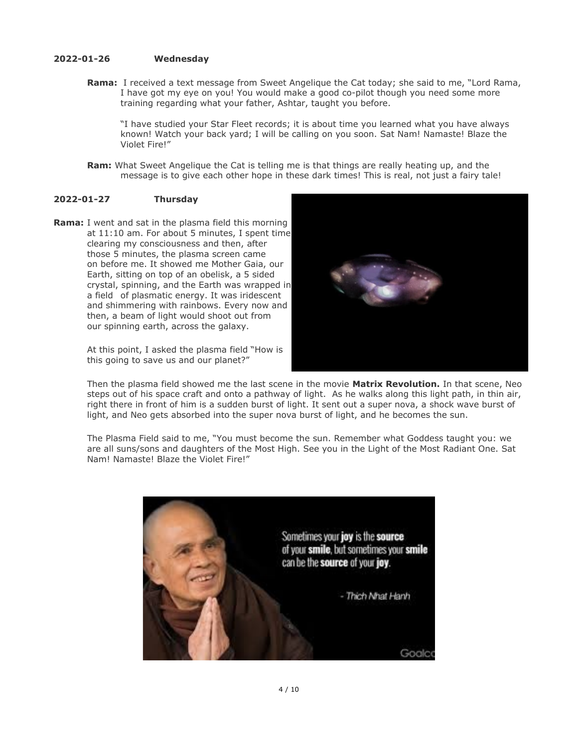## **2022-01-26 Wednesday**

**Rama:** I received a text message from Sweet Angelique the Cat today; she said to me, "Lord Rama, I have got my eye on you! You would make a good co-pilot though you need some more training regarding what your father, Ashtar, taught you before.

"I have studied your Star Fleet records; it is about time you learned what you have always known! Watch your back yard; I will be calling on you soon. Sat Nam! Namaste! Blaze the Violet Fire!"

**Ram:** What Sweet Angelique the Cat is telling me is that things are really heating up, and the message is to give each other hope in these dark times! This is real, not just a fairy tale!

## **2022-01-27 Thursday**

**Rama:** I went and sat in the plasma field this morning at 11:10 am. For about 5 minutes, I spent time clearing my consciousness and then, after those 5 minutes, the plasma screen came on before me. It showed me Mother Gaia, our Earth, sitting on top of an obelisk, a 5 sided crystal, spinning, and the Earth was wrapped in a field of plasmatic energy. It was iridescent and shimmering with rainbows. Every now and then, a beam of light would shoot out from our spinning earth, across the galaxy.

> At this point, I asked the plasma field "How is this going to save us and our planet?"



Then the plasma field showed me the last scene in the movie **Matrix Revolution.** In that scene, Neo steps out of his space craft and onto a pathway of light. As he walks along this light path, in thin air, right there in front of him is a sudden burst of light. It sent out a super nova, a shock wave burst of light, and Neo gets absorbed into the super nova burst of light, and he becomes the sun.

The Plasma Field said to me, "You must become the sun. Remember what Goddess taught you: we are all suns/sons and daughters of the Most High. See you in the Light of the Most Radiant One. Sat Nam! Namaste! Blaze the Violet Fire!"

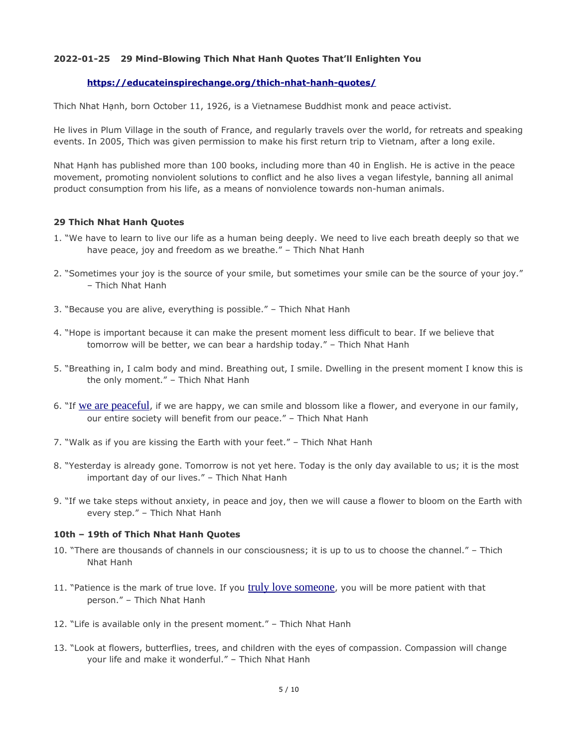# **2022-01-25 29 Mind-Blowing Thich Nhat Hanh Quotes That'll Enlighten You**

## **<https://educateinspirechange.org/thich-nhat-hanh-quotes/>**

Thich Nhat Hạnh, born October 11, 1926, is a Vietnamese Buddhist monk and peace activist.

He lives in Plum Village in the south of France, and regularly travels over the world, for retreats and speaking events. In 2005, Thich was given permission to make his first return trip to Vietnam, after a long exile.

Nhat Hạnh has published more than 100 books, including more than 40 in English. He is active in the peace movement, promoting nonviolent solutions to conflict and he also lives a vegan lifestyle, banning all animal product consumption from his life, as a means of nonviolence towards non-human animals.

## **29 Thich Nhat Hanh Quotes**

- 1. "We have to learn to live our life as a human being deeply. We need to live each breath deeply so that we have peace, joy and freedom as we breathe." – Thich Nhat Hanh
- 2. "Sometimes your joy is the source of your smile, but sometimes your smile can be the source of your joy." – Thich Nhat Hanh
- 3. "Because you are alive, everything is possible." Thich Nhat Hanh
- 4. "Hope is important because it can make the present moment less difficult to bear. If we believe that tomorrow will be better, we can bear a hardship today." – Thich Nhat Hanh
- 5. "Breathing in, I calm body and mind. Breathing out, I smile. Dwelling in the present moment I know this is the only moment." – Thich Nhat Hanh
- 6. "If [we are peaceful](https://educateinspirechange.org//alternative-news/peaceful-revolution-inevitable/), if we are happy, we can smile and blossom like a flower, and everyone in our family, our entire society will benefit from our peace." – Thich Nhat Hanh
- 7. "Walk as if you are kissing the Earth with your feet." Thich Nhat Hanh
- 8. "Yesterday is already gone. Tomorrow is not yet here. Today is the only day available to us; it is the most important day of our lives." – Thich Nhat Hanh
- 9. "If we take steps without anxiety, in peace and joy, then we will cause a flower to bloom on the Earth with every step." – Thich Nhat Hanh

#### **10th – 19th of Thich Nhat Hanh Quotes**

- 10. "There are thousands of channels in our consciousness; it is up to us to choose the channel." Thich Nhat Hanh
- 11. "Patience is the mark of true love. If you [truly love someone](https://educateinspirechange.org//inspirational/fall-love-3-people-lifetime-one-specific-reason/), you will be more patient with that person." – Thich Nhat Hanh
- 12. "Life is available only in the present moment." Thich Nhat Hanh
- 13. "Look at flowers, butterflies, trees, and children with the eyes of compassion. Compassion will change your life and make it wonderful." – Thich Nhat Hanh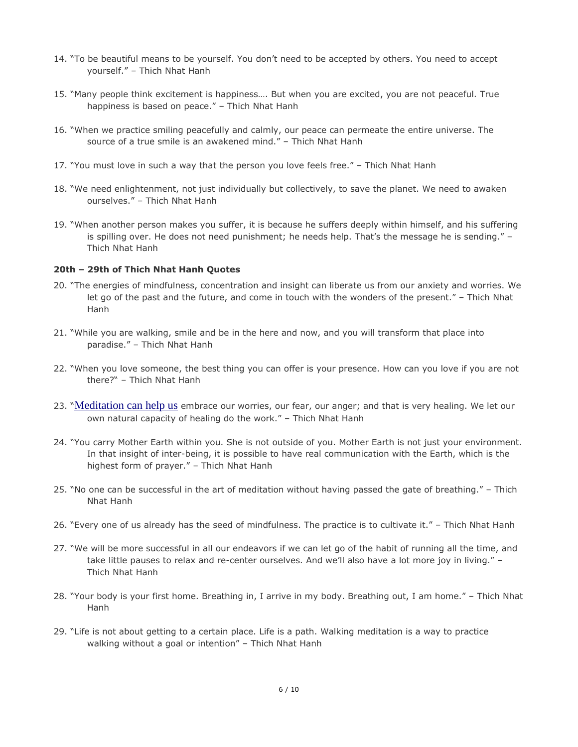- 14. "To be beautiful means to be yourself. You don't need to be accepted by others. You need to accept yourself." – Thich Nhat Hanh
- 15. "Many people think excitement is happiness…. But when you are excited, you are not peaceful. True happiness is based on peace." – Thich Nhat Hanh
- 16. "When we practice smiling peacefully and calmly, our peace can permeate the entire universe. The source of a true smile is an awakened mind." – Thich Nhat Hanh
- 17. "You must love in such a way that the person you love feels free." Thich Nhat Hanh
- 18. "We need enlightenment, not just individually but collectively, to save the planet. We need to awaken ourselves." – Thich Nhat Hanh
- 19. "When another person makes you suffer, it is because he suffers deeply within himself, and his suffering is spilling over. He does not need punishment; he needs help. That's the message he is sending." – Thich Nhat Hanh

## **20th – 29th of Thich Nhat Hanh Quotes**

- 20. "The energies of mindfulness, concentration and insight can liberate us from our anxiety and worries. We let go of the past and the future, and come in touch with the wonders of the present." – Thich Nhat Hanh
- 21. "While you are walking, smile and be in the here and now, and you will transform that place into paradise." – Thich Nhat Hanh
- 22. "When you love someone, the best thing you can offer is your presence. How can you love if you are not there?" – Thich Nhat Hanh
- 23. "[Meditation can help us](https://educateinspirechange.org//spirituality/school-replaced-detention-meditation-results-incredible/) embrace our worries, our fear, our anger; and that is very healing. We let our own natural capacity of healing do the work." – Thich Nhat Hanh
- 24. "You carry Mother Earth within you. She is not outside of you. Mother Earth is not just your environment. In that insight of inter-being, it is possible to have real communication with the Earth, which is the highest form of prayer." – Thich Nhat Hanh
- 25. "No one can be successful in the art of meditation without having passed the gate of breathing." Thich Nhat Hanh
- 26. "Every one of us already has the seed of mindfulness. The practice is to cultivate it." Thich Nhat Hanh
- 27. "We will be more successful in all our endeavors if we can let go of the habit of running all the time, and take little pauses to relax and re-center ourselves. And we'll also have a lot more joy in living." – Thich Nhat Hanh
- 28. "Your body is your first home. Breathing in, I arrive in my body. Breathing out, I am home." Thich Nhat Hanh
- 29. "Life is not about getting to a certain place. Life is a path. Walking meditation is a way to practice walking without a goal or intention" - Thich Nhat Hanh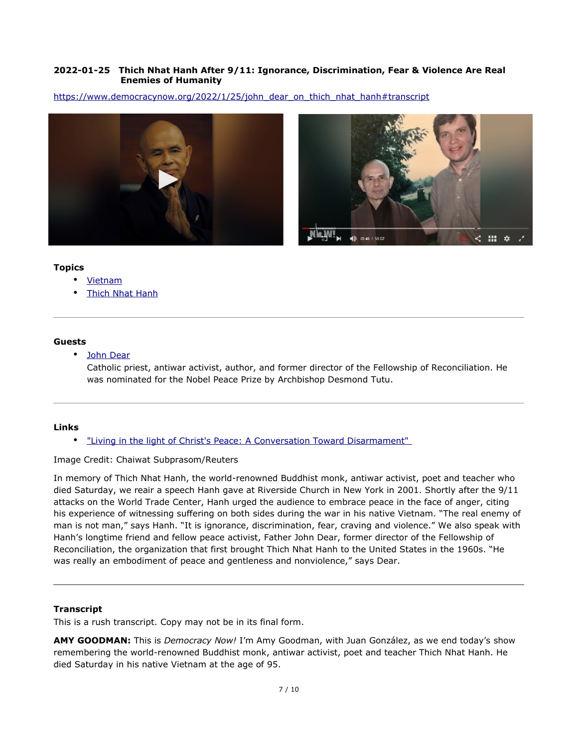# **2022-01-25 Thich Nhat Hanh After 9/11: Ignorance, Discrimination, Fear & Violence Are Real Enemies of Humanity**

[https://www.democracynow.org/2022/1/25/john\\_dear\\_on\\_thich\\_nhat\\_hanh#transcript](https://www.democracynow.org/2022/1/25/john_dear_on_thich_nhat_hanh#transcript)





## **Topics**

- • [Vietnam](https://www.democracynow.org/topics/vietnam)
- **Thich Nhat Hanh**

## **Guests**

• [John Dear](https://www.democracynow.org/appearances/john_dear)

Catholic priest, antiwar activist, author, and former director of the Fellowship of Reconciliation. He was nominated for the Nobel Peace Prize by Archbishop Desmond Tutu.

# **Links**

• ["Living in the light of Christ's Peace: A Conversation Toward Disarmament"](https://archdiosf.org/documents/2022/1/220111_ABW_Pastoral_Letter_LivingintheLightofChristsPeace_Official_Reduced.pdf) 

# Image Credit: Chaiwat Subprasom/Reuters

In memory of Thich Nhat Hanh, the world-renowned Buddhist monk, antiwar activist, poet and teacher who died Saturday, we reair a speech Hanh gave at Riverside Church in New York in 2001. Shortly after the 9/11 attacks on the World Trade Center, Hanh urged the audience to embrace peace in the face of anger, citing his experience of witnessing suffering on both sides during the war in his native Vietnam. "The real enemy of man is not man," says Hanh. "It is ignorance, discrimination, fear, craving and violence." We also speak with Hanh's longtime friend and fellow peace activist, Father John Dear, former director of the Fellowship of Reconciliation, the organization that first brought Thich Nhat Hanh to the United States in the 1960s. "He was really an embodiment of peace and gentleness and nonviolence," says Dear.

# **Transcript**

This is a rush transcript. Copy may not be in its final form.

**AMY GOODMAN:** This is *Democracy Now!* I'm Amy Goodman, with Juan González, as we end today's show remembering the world-renowned Buddhist monk, antiwar activist, poet and teacher Thich Nhat Hanh. He died Saturday in his native Vietnam at the age of 95.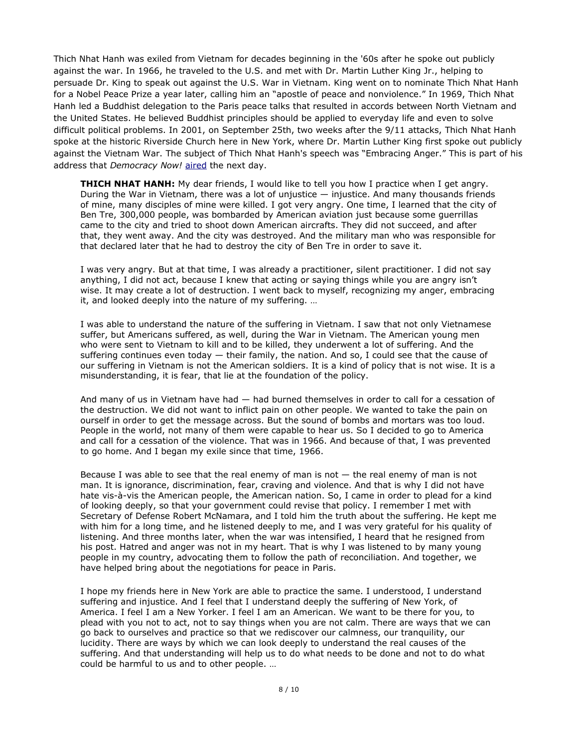Thich Nhat Hanh was exiled from Vietnam for decades beginning in the '60s after he spoke out publicly against the war. In 1966, he traveled to the U.S. and met with Dr. Martin Luther King Jr., helping to persuade Dr. King to speak out against the U.S. War in Vietnam. King went on to nominate Thich Nhat Hanh for a Nobel Peace Prize a year later, calling him an "apostle of peace and nonviolence." In 1969, Thich Nhat Hanh led a Buddhist delegation to the Paris peace talks that resulted in accords between North Vietnam and the United States. He believed Buddhist principles should be applied to everyday life and even to solve difficult political problems. In 2001, on September 25th, two weeks after the 9/11 attacks, Thich Nhat Hanh spoke at the historic Riverside Church here in New York, where Dr. Martin Luther King first spoke out publicly against the Vietnam War. The subject of Thich Nhat Hanh's speech was "Embracing Anger." This is part of his address that *Democracy Now!* [aired](https://www.democracynow.org/2001/9/26/thousands_gather_to_hear_vietnamese_monk) the next day.

**THICH NHAT HANH:** My dear friends, I would like to tell you how I practice when I get angry. During the War in Vietnam, there was a lot of uniustice  $-$  injustice. And many thousands friends of mine, many disciples of mine were killed. I got very angry. One time, I learned that the city of Ben Tre, 300,000 people, was bombarded by American aviation just because some guerrillas came to the city and tried to shoot down American aircrafts. They did not succeed, and after that, they went away. And the city was destroyed. And the military man who was responsible for that declared later that he had to destroy the city of Ben Tre in order to save it.

I was very angry. But at that time, I was already a practitioner, silent practitioner. I did not say anything, I did not act, because I knew that acting or saying things while you are angry isn't wise. It may create a lot of destruction. I went back to myself, recognizing my anger, embracing it, and looked deeply into the nature of my suffering. …

I was able to understand the nature of the suffering in Vietnam. I saw that not only Vietnamese suffer, but Americans suffered, as well, during the War in Vietnam. The American young men who were sent to Vietnam to kill and to be killed, they underwent a lot of suffering. And the suffering continues even today — their family, the nation. And so, I could see that the cause of our suffering in Vietnam is not the American soldiers. It is a kind of policy that is not wise. It is a misunderstanding, it is fear, that lie at the foundation of the policy.

And many of us in Vietnam have had — had burned themselves in order to call for a cessation of the destruction. We did not want to inflict pain on other people. We wanted to take the pain on ourself in order to get the message across. But the sound of bombs and mortars was too loud. People in the world, not many of them were capable to hear us. So I decided to go to America and call for a cessation of the violence. That was in 1966. And because of that, I was prevented to go home. And I began my exile since that time, 1966.

Because I was able to see that the real enemy of man is not  $-$  the real enemy of man is not man. It is ignorance, discrimination, fear, craving and violence. And that is why I did not have hate vis-à-vis the American people, the American nation. So, I came in order to plead for a kind of looking deeply, so that your government could revise that policy. I remember I met with Secretary of Defense Robert McNamara, and I told him the truth about the suffering. He kept me with him for a long time, and he listened deeply to me, and I was very grateful for his quality of listening. And three months later, when the war was intensified, I heard that he resigned from his post. Hatred and anger was not in my heart. That is why I was listened to by many young people in my country, advocating them to follow the path of reconciliation. And together, we have helped bring about the negotiations for peace in Paris.

I hope my friends here in New York are able to practice the same. I understood, I understand suffering and injustice. And I feel that I understand deeply the suffering of New York, of America. I feel I am a New Yorker. I feel I am an American. We want to be there for you, to plead with you not to act, not to say things when you are not calm. There are ways that we can go back to ourselves and practice so that we rediscover our calmness, our tranquility, our lucidity. There are ways by which we can look deeply to understand the real causes of the suffering. And that understanding will help us to do what needs to be done and not to do what could be harmful to us and to other people. …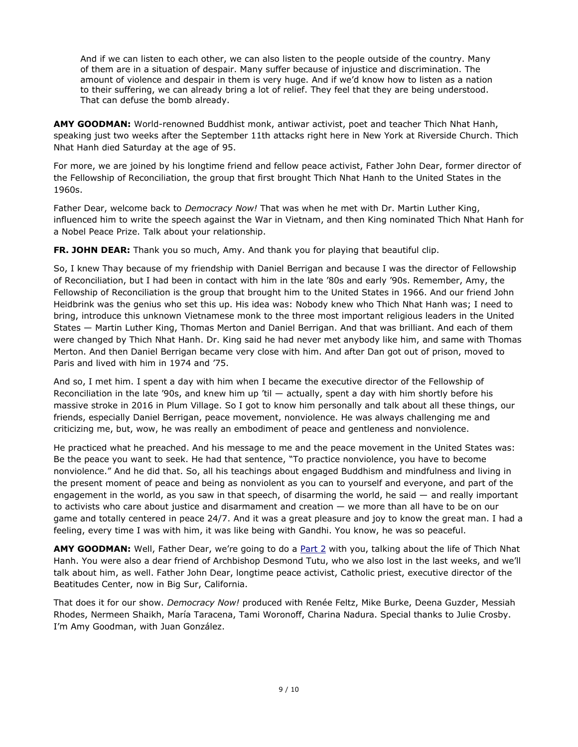And if we can listen to each other, we can also listen to the people outside of the country. Many of them are in a situation of despair. Many suffer because of injustice and discrimination. The amount of violence and despair in them is very huge. And if we'd know how to listen as a nation to their suffering, we can already bring a lot of relief. They feel that they are being understood. That can defuse the bomb already.

**AMY GOODMAN:** World-renowned Buddhist monk, antiwar activist, poet and teacher Thich Nhat Hanh, speaking just two weeks after the September 11th attacks right here in New York at Riverside Church. Thich Nhat Hanh died Saturday at the age of 95.

For more, we are joined by his longtime friend and fellow peace activist, Father John Dear, former director of the Fellowship of Reconciliation, the group that first brought Thich Nhat Hanh to the United States in the 1960s.

Father Dear, welcome back to *Democracy Now!* That was when he met with Dr. Martin Luther King, influenced him to write the speech against the War in Vietnam, and then King nominated Thich Nhat Hanh for a Nobel Peace Prize. Talk about your relationship.

**FR. JOHN DEAR:** Thank you so much, Amy. And thank you for playing that beautiful clip.

So, I knew Thay because of my friendship with Daniel Berrigan and because I was the director of Fellowship of Reconciliation, but I had been in contact with him in the late '80s and early '90s. Remember, Amy, the Fellowship of Reconciliation is the group that brought him to the United States in 1966. And our friend John Heidbrink was the genius who set this up. His idea was: Nobody knew who Thich Nhat Hanh was; I need to bring, introduce this unknown Vietnamese monk to the three most important religious leaders in the United States — Martin Luther King, Thomas Merton and Daniel Berrigan. And that was brilliant. And each of them were changed by Thich Nhat Hanh. Dr. King said he had never met anybody like him, and same with Thomas Merton. And then Daniel Berrigan became very close with him. And after Dan got out of prison, moved to Paris and lived with him in 1974 and '75.

And so, I met him. I spent a day with him when I became the executive director of the Fellowship of Reconciliation in the late '90s, and knew him up 'til — actually, spent a day with him shortly before his massive stroke in 2016 in Plum Village. So I got to know him personally and talk about all these things, our friends, especially Daniel Berrigan, peace movement, nonviolence. He was always challenging me and criticizing me, but, wow, he was really an embodiment of peace and gentleness and nonviolence.

He practiced what he preached. And his message to me and the peace movement in the United States was: Be the peace you want to seek. He had that sentence, "To practice nonviolence, you have to become nonviolence." And he did that. So, all his teachings about engaged Buddhism and mindfulness and living in the present moment of peace and being as nonviolent as you can to yourself and everyone, and part of the engagement in the world, as you saw in that speech, of disarming the world, he said — and really important to activists who care about justice and disarmament and creation — we more than all have to be on our game and totally centered in peace 24/7. And it was a great pleasure and joy to know the great man. I had a feeling, every time I was with him, it was like being with Gandhi. You know, he was so peaceful.

**AMY GOODMAN:** Well, Father Dear, we're going to do a [Part 2](https://www.democracynow.org/2022/1/25/father_john_dear_on_thich_nhat) with you, talking about the life of Thich Nhat Hanh. You were also a dear friend of Archbishop Desmond Tutu, who we also lost in the last weeks, and we'll talk about him, as well. Father John Dear, longtime peace activist, Catholic priest, executive director of the Beatitudes Center, now in Big Sur, California.

That does it for our show. *Democracy Now!* produced with Renée Feltz, Mike Burke, Deena Guzder, Messiah Rhodes, Nermeen Shaikh, María Taracena, Tami Woronoff, Charina Nadura. Special thanks to Julie Crosby. I'm Amy Goodman, with Juan González.